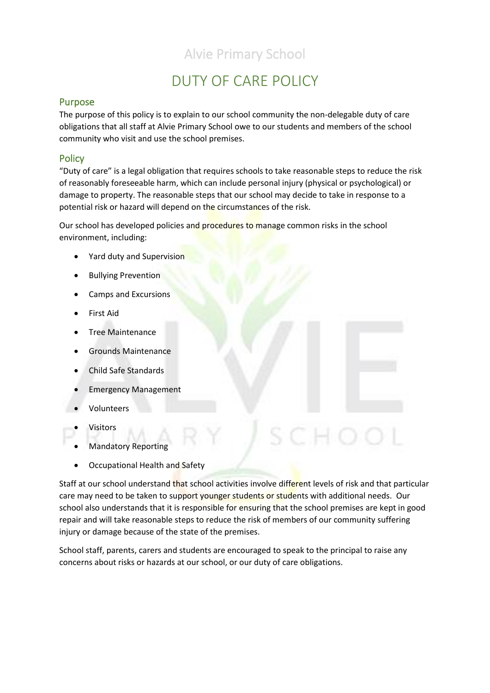# Alvie Primary School

# DUTY OF CARE POLICY

## Purpose

The purpose of this policy is to explain to our school community the non-delegable duty of care obligations that all staff at Alvie Primary School owe to our students and members of the school community who visit and use the school premises.

## **Policy**

"Duty of care" is a legal obligation that requires schools to take reasonable steps to reduce the risk of reasonably foreseeable harm, which can include personal injury (physical or psychological) or damage to property. The reasonable steps that our school may decide to take in response to a potential risk or hazard will depend on the circumstances of the risk.

Our school has developed policies and procedures to manage common risks in the school environment, including:

- Yard duty and Supervision
- Bullying Prevention
- Camps and Excursions
- First Aid
- Tree Maintenance
- Grounds Maintenance
- Child Safe Standards
- Emergency Management
- Volunteers
- **Visitors**
- Mandatory Reporting
- Occupational Health and Safety

Staff at our school understand that school activities involve different levels of risk and that particular care may need to be taken to support younger students or students with additional needs. Our school also understands that it is responsible for ensuring that the school premises are kept in good repair and will take reasonable steps to reduce the risk of members of our community suffering injury or damage because of the state of the premises.

School staff, parents, carers and students are encouraged to speak to the principal to raise any concerns about risks or hazards at our school, or our duty of care obligations.